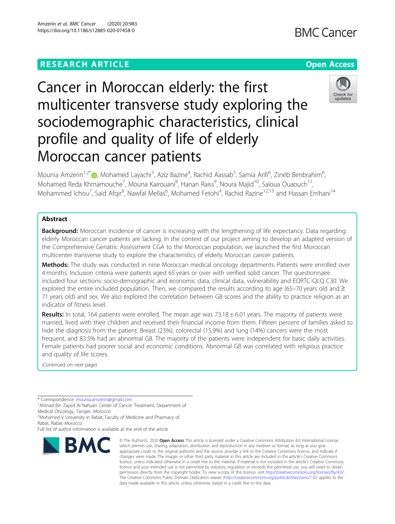## **RESEARCH ARTICLE Example 2014 12:30 The Contract of Contract ACCESS**

# Cancer in Moroccan elderly: the first multicenter transverse study exploring the sociodemographic characteristics, clinical profile and quality of life of elderly Moroccan cancer patients

, Mohamed Reda Khmamouche<sup>7</sup>, Mouna Kairouani<sup>8</sup>, Hanan Raiss<sup>9</sup>, Noura Majid<sup>10</sup>, Saloua Ouaouch<sup>11</sup>, Mohammed Ichou<sup>7</sup>, Said Afqir<sup>8</sup>, Nawfal Mellas<sup>6</sup>, Mohamed Fetohi<sup>4</sup>, Rachid Razine<sup>12,13</sup> and Hassan Errihani<sup>14</sup>

## Abstract

Background: Moroccan incidence of cancer is increasing with the lengthening of life expectancy. Data regarding elderly Moroccan cancer patients are lacking. In the context of our project aiming to develop an adapted version of the Comprehensive Geriatric Assessment CGA to the Moroccan population, we launched the first Moroccan multicenter transverse study to explore the characteristics of elderly Moroccan cancer patients.

Methods: The study was conducted in nine Moroccan medical oncology departments. Patients were enrolled over 4 months. Inclusion criteria were patients aged 65 years or over with verified solid cancer. The questionnaire included four sections: socio-demographic and economic data, clinical data, vulnerability and EORTC-QLQ C30. We explored the entire included population. Then, we compared the results according to age (65–70 years old and ≥ 71 years old) and sex. We also explored the correlation between G8 scores and the ability to practice religion as an indicator of fitness level.

Results: In total, 164 patients were enrolled. The mean age was  $73.18 \pm 6.01$  years. The majority of patients were married, lived with their children and received their financial income from them. Fifteen percent of families asked to hide the diagnosis from the patient. Breast (23%), colorectal (15.9%) and lung (14%) cancers were the most frequent, and 83.5% had an abnormal G8. The majority of the patients were independent for basic daily activities. Female patients had poorer social and economic conditions. Abnormal G8 was correlated with religious practice and quality of life scores.

(Continued on next page)

\* Correspondence: [mounia.amzerin@gmail.com](mailto:mounia.amzerin@gmail.com) <sup>1</sup>

**BMC** 

<sup>1</sup>Ahmad Bin Zayed Al Nahyan Center of Cancer Treatment, Department of Medical Oncology, Tangier, Morocco

<sup>2</sup> Mohamed V University in Rabat, Faculty of Medicine and Pharmacy of Rabat, Rabat, Morocco

Full list of author information is available at the end of the article

© The Author(s), 2020 **Open Access** This article is licensed under a Creative Commons Attribution 4.0 International License, which permits use, sharing, adaptation, distribution and reproduction in any medium or format, as long as you give appropriate credit to the original author(s) and the source, provide a link to the Creative Commons licence, and indicate if changes were made. The images or other third party material in this article are included in the article's Creative Commons licence, unless indicated otherwise in a credit line to the material. If material is not included in the article's Creative Commons licence and your intended use is not permitted by statutory regulation or exceeds the permitted use, you will need to obtain permission directly from the copyright holder. To view a copy of this licence, visit [http://creativecommons.org/licenses/by/4.0/.](http://creativecommons.org/licenses/by/4.0/) The Creative Commons Public Domain Dedication waiver [\(http://creativecommons.org/publicdomain/zero/1.0/](http://creativecommons.org/publicdomain/zero/1.0/)) applies to the data made available in this article, unless otherwise stated in a credit line to the data.



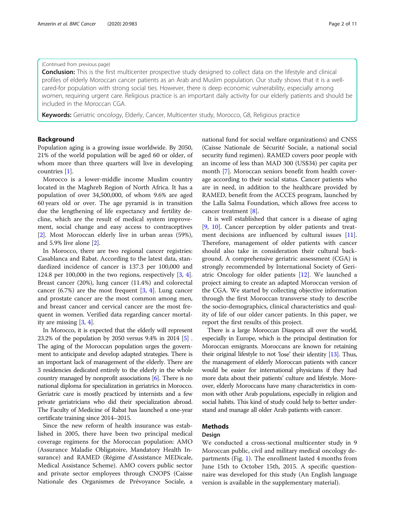#### (Continued from previous page)

Conclusion: This is the first multicenter prospective study designed to collect data on the lifestyle and clinical profiles of elderly Moroccan cancer patients as an Arab and Muslim population. Our study shows that it is a wellcared-for population with strong social ties. However, there is deep economic vulnerability, especially among women, requiring urgent care. Religious practice is an important daily activity for our elderly patients and should be included in the Moroccan CGA.

Keywords: Geriatric oncology, Elderly, Cancer, Multicenter study, Morocco, G8, Religious practice

#### Background

Population aging is a growing issue worldwide. By 2050, 21% of the world population will be aged 60 or older, of whom more than three quarters will live in developing countries [[1\]](#page-10-0).

Morocco is a lower-middle income Muslim country located in the Maghreb Region of North Africa. It has a population of over 34,500,000, of whom 9.6% are aged 60 years old or over. The age pyramid is in transition due the lengthening of life expectancy and fertility decline, which are the result of medical system improvement, social change and easy access to contraceptives [[2\]](#page-10-0). Most Moroccan elderly live in urban areas (59%), and 5.9% live alone [\[2](#page-10-0)].

In Morocco, there are two regional cancer registries: Casablanca and Rabat. According to the latest data, standardized incidence of cancer is 137.3 per 100,000 and 124.8 per 100,000 in the two regions, respectively [[3,](#page-10-0) [4](#page-10-0)]. Breast cancer (20%), lung cancer (11.4%) and colorectal cancer  $(6.7%)$  are the most frequent  $[3, 4]$  $[3, 4]$  $[3, 4]$  $[3, 4]$ . Lung cancer and prostate cancer are the most common among men, and breast cancer and cervical cancer are the most frequent in women. Verified data regarding cancer mortality are missing  $[3, 4]$  $[3, 4]$  $[3, 4]$  $[3, 4]$ .

In Morocco, it is expected that the elderly will represent 23.2% of the population by 2050 versus 9.4% in 2014 [\[5\]](#page-10-0) . The aging of the Moroccan population urges the government to anticipate and develop adapted strategies. There is an important lack of management of the elderly. There are 3 residencies dedicated entirely to the elderly in the whole country managed by nonprofit associations [\[6\]](#page-10-0). There is no national diploma for specialization in geriatrics in Morocco. Geriatric care is mostly practiced by internists and a few private geriatricians who did their specialization abroad. The Faculty of Medicine of Rabat has launched a one-year certificate training since 2014–2015.

Since the new reform of health insurance was established in 2005, there have been two principal medical coverage regimens for the Moroccan population: AMO (Assurance Maladie Obligatoire, Mandatory Health Insurance) and RAMED (Régime d'Assistance MEDicale, Medical Assistance Scheme). AMO covers public sector and private sector employees through CNOPS (Caisse Nationale des Organismes de Prévoyance Sociale, a national fund for social welfare organizations) and CNSS (Caisse Nationale de Sécurité Sociale, a national social security fund regimen). RAMED covers poor people with an income of less than MAD 300 (US\$34) per capita per month [[7\]](#page-10-0). Moroccan seniors benefit from health coverage according to their social status. Cancer patients who are in need, in addition to the healthcare provided by RAMED, benefit from the ACCES program, launched by the Lalla Salma Foundation, which allows free access to cancer treatment [\[8](#page-10-0)].

It is well established that cancer is a disease of aging [[9,](#page-10-0) [10](#page-10-0)]. Cancer perception by older patients and treatment decisions are influenced by cultural issues [\[11](#page-10-0)]. Therefore, management of older patients with cancer should also take in consideration their cultural background. A comprehensive geriatric assessment (CGA) is strongly recommended by International Society of Geriatric Oncology for older patients [[12](#page-10-0)]. We launched a project aiming to create an adapted Moroccan version of the CGA. We started by collecting objective information through the first Moroccan transverse study to describe the socio-demographics, clinical characteristics and quality of life of our older cancer patients. In this paper, we report the first results of this project.

There is a large Moroccan Diaspora all over the world, especially in Europe, which is the principal destination for Moroccan emigrants. Moroccans are known for retaining their original lifestyle to not 'lose' their identity [\[13\]](#page-10-0). Thus, the management of elderly Moroccan patients with cancer would be easier for international physicians if they had more data about their patients' culture and lifestyle. Moreover, elderly Moroccans have many characteristics in common with other Arab populations, especially in religion and social habits. This kind of study could help to better understand and manage all older Arab patients with cancer.

### Methods

#### Design

We conducted a cross-sectional multicenter study in 9 Moroccan public, civil and military medical oncology departments (Fig. [1](#page-2-0)). The enrollment lasted 4 months from June 15th to October 15th, 2015. A specific questionnaire was developed for this study (An English language version is available in the supplementary material).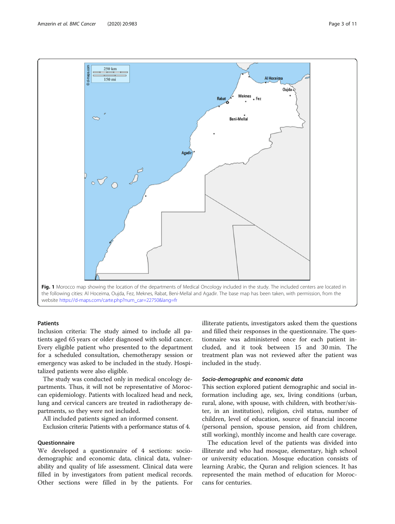<span id="page-2-0"></span>

#### **Patients**

Inclusion criteria: The study aimed to include all patients aged 65 years or older diagnosed with solid cancer. Every eligible patient who presented to the department for a scheduled consultation, chemotherapy session or emergency was asked to be included in the study. Hospitalized patients were also eligible.

The study was conducted only in medical oncology departments. Thus, it will not be representative of Moroccan epidemiology. Patients with localized head and neck, lung and cervical cancers are treated in radiotherapy departments, so they were not included.

All included patients signed an informed consent.

Exclusion criteria: Patients with a performance status of 4.

#### Questionnaire

We developed a questionnaire of 4 sections: sociodemographic and economic data, clinical data, vulnerability and quality of life assessment. Clinical data were filled in by investigators from patient medical records. Other sections were filled in by the patients. For illiterate patients, investigators asked them the questions and filled their responses in the questionnaire. The questionnaire was administered once for each patient included, and it took between 15 and 30 min. The treatment plan was not reviewed after the patient was included in the study.

#### Socio-demographic and economic data

This section explored patient demographic and social information including age, sex, living conditions (urban, rural, alone, with spouse, with children, with brother/sister, in an institution), religion, civil status, number of children, level of education, source of financial income (personal pension, spouse pension, aid from children, still working), monthly income and health care coverage.

The education level of the patients was divided into illiterate and who had mosque, elementary, high school or university education. Mosque education consists of learning Arabic, the Quran and religion sciences. It has represented the main method of education for Moroccans for centuries.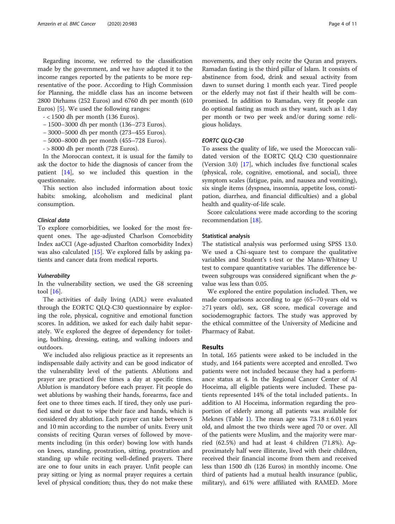Regarding income, we referred to the classification made by the government, and we have adapted it to the income ranges reported by the patients to be more representative of the poor. According to High Commission for Planning, the middle class has an income between 2800 Dirhams (252 Euros) and 6760 dh per month (610 Euros) [\[5](#page-10-0)]. We used the following ranges:

- < 1500 dh per month (136 Euros).

- − 1500–3000 dh per month (136–273 Euros).
- − 3000–5000 dh per month (273–455 Euros).
- − 5000–8000 dh per month (455–728 Euros).
- > 8000 dh per month (728 Euros).

In the Moroccan context, it is usual for the family to ask the doctor to hide the diagnosis of cancer from the patient [[14\]](#page-10-0), so we included this question in the questionnaire.

This section also included information about toxic habits: smoking, alcoholism and medicinal plant consumption.

#### Clinical data

To explore comorbidities, we looked for the most frequent ones. The age-adjusted Charlson Comorbidity Index aaCCI (Age-adjusted Charlton comorbidity Index) was also calculated [\[15](#page-10-0)]. We explored falls by asking patients and cancer data from medical reports.

#### Vulnerability

In the vulnerability section, we used the G8 screening tool [[16\]](#page-10-0).

The activities of daily living (ADL) were evaluated through the EORTC QLQ-C30 questionnaire by exploring the role, physical, cognitive and emotional function scores. In addition, we asked for each daily habit separately. We explored the degree of dependency for toileting, bathing, dressing, eating, and walking indoors and outdoors.

We included also religious practice as it represents an indispensable daily activity and can be good indicator of the vulnerability level of the patients. Ablutions and prayer are practiced five times a day at specific times. Ablution is mandatory before each prayer. Fit people do wet ablutions by washing their hands, forearms, face and feet one to three times each. If tired, they only use purified sand or dust to wipe their face and hands, which is considered dry ablution. Each prayer can take between 5 and 10 min according to the number of units. Every unit consists of reciting Quran verses of followed by movements including (in this order) bowing low with hands on knees, standing, prostration, sitting, prostration and standing up while reciting well-defined prayers. There are one to four units in each prayer. Unfit people can pray sitting or lying as normal prayer requires a certain level of physical condition; thus, they do not make these

movements, and they only recite the Quran and prayers. Ramadan fasting is the third pillar of Islam. It consists of abstinence from food, drink and sexual activity from dawn to sunset during 1 month each year. Tired people or the elderly may not fast if their health will be compromised. In addition to Ramadan, very fit people can do optional fasting as much as they want, such as 1 day per month or two per week and/or during some religious holidays.

#### EORTC QLQ-C30

To assess the quality of life, we used the Moroccan validated version of the EORTC QLQ C30 questionnaire (Version 3.0) [\[17\]](#page-10-0), which includes five functional scales (physical, role, cognitive, emotional, and social), three symptom scales (fatigue, pain, and nausea and vomiting), six single items (dyspnea, insomnia, appetite loss, constipation, diarrhea, and financial difficulties) and a global health and quality-of-life scale.

Score calculations were made according to the scoring recommendation [\[18](#page-10-0)].

#### Statistical analysis

The statistical analysis was performed using SPSS 13.0. We used a Chi-square test to compare the qualitative variables and Student's t-test or the Mann-Whitney U test to compare quantitative variables. The difference between subgroups was considered significant when the pvalue was less than 0.05.

We explored the entire population included. Then, we made comparisons according to age (65–70 years old vs ≥71 years old), sex, G8 score, medical coverage and sociodemographic factors. The study was approved by the ethical committee of the University of Medicine and Pharmacy of Rabat.

#### Results

In total, 165 patients were asked to be included in the study, and 164 patients were accepted and enrolled. Two patients were not included because they had a performance status at 4. In the Regional Cancer Center of Al Hoceima, all eligible patients were included. These patients represented 14% of the total included patients.. In addition to Al Hoceima, information regarding the proportion of elderly among all patients was available for Meknes (Table [1\)](#page-4-0). The mean age was  $73.18 \pm 6.01$  years old, and almost the two thirds were aged 70 or over. All of the patients were Muslim, and the majority were married (62.5%) and had at least 4 children (71.8%). Approximately half were illiterate, lived with their children, received their financial income from them and received less than 1500 dh (126 Euros) in monthly income. One third of patients had a mutual health insurance (public, military), and 61% were affiliated with RAMED. More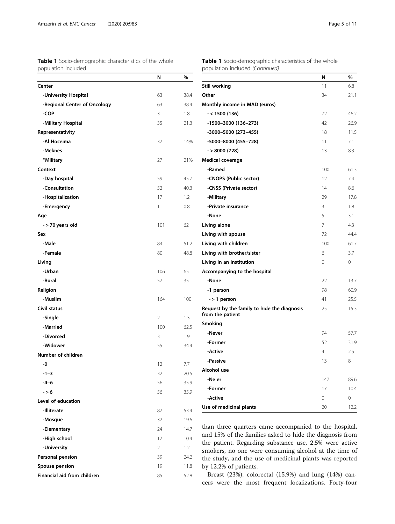<span id="page-4-0"></span>

|                     | <b>Table 1</b> Socio-demographic characteristics of the whole |
|---------------------|---------------------------------------------------------------|
| population included |                                                               |

Financial aid from children 85 52.8

| Table 1 Socio-demographic characteristics of the whole |
|--------------------------------------------------------|
| population included (Continued)                        |

|                              | N              | %    |                                                                                                                  | N              | %       |
|------------------------------|----------------|------|------------------------------------------------------------------------------------------------------------------|----------------|---------|
| Center                       |                |      | <b>Still working</b>                                                                                             | 11             | 6.8     |
| -University Hospital         | 63             | 38.4 | Other                                                                                                            | 34             | 21.1    |
| -Regional Center of Oncology | 63             | 38.4 | Monthly income in MAD (euros)                                                                                    |                |         |
| -COP                         | 3              | 1.8  | $- < 1500(136)$                                                                                                  | 72             | 46.2    |
| -Military Hospital           | 35             | 21.3 | $-1500-3000$ (136-273)                                                                                           | 42             | 26.9    |
| Representativity             |                |      | -3000-5000 (273-455)                                                                                             | 18             | 11.5    |
| -Al Hoceima                  | 37             | 14%  | -5000-8000 (455-728)                                                                                             | 11             | 7.1     |
| -Meknes                      |                |      | $-$ > 8000 (728)                                                                                                 | 13             | 8.3     |
| *Military                    | 27             | 21%  | Medical coverage                                                                                                 |                |         |
| Context                      |                |      | -Ramed                                                                                                           | 100            | 61.3    |
| -Day hospital                | 59             | 45.7 | -CNOPS (Public sector)                                                                                           | 12             | 7.4     |
| -Consultation                | 52             | 40.3 | -CNSS (Private sector)                                                                                           | 14             | 8.6     |
| -Hospitalization             | 17             | 1.2  | -Military                                                                                                        | 29             | 17.8    |
| -Emergency                   | $\mathbf{1}$   | 0.8  | -Private insurance                                                                                               | 3              | 1.8     |
| Age                          |                |      | -None                                                                                                            | 5              | 3.1     |
| - > 70 years old             | 101            | 62   | Living alone                                                                                                     | $\overline{7}$ | 4.3     |
| Sex                          |                |      | Living with spouse                                                                                               | 72             | 44.4    |
| -Male                        | 84             | 51.2 | Living with children                                                                                             | 100            | 61.7    |
| -Female                      | 80             | 48.8 | Living with brother/sister                                                                                       | 6              | 3.7     |
| Living                       |                |      | Living in an institution                                                                                         | $\circ$        | 0       |
| -Urban                       | 106            | 65   | Accompanying to the hospital                                                                                     |                |         |
| -Rural                       | 57             | 35   | -None                                                                                                            | 22             | 13.7    |
| Religion                     |                |      | -1 person                                                                                                        | 98             | 60.9    |
| -Muslim                      | 164            | 100  | $-$ > 1 person                                                                                                   | 41             | 25.5    |
| Civil status                 |                |      | Request by the family to hide the diagnosis                                                                      | 25             | 15.3    |
| -Single                      | $\overline{2}$ | 1.3  | from the patient                                                                                                 |                |         |
| -Married                     | 100            | 62.5 | Smoking                                                                                                          |                |         |
| -Divorced                    | 3              | 1.9  | -Never                                                                                                           | 94             | 57.7    |
| -Widower                     | 55             | 34.4 | -Former                                                                                                          | 52             | 31.9    |
| Number of children           |                |      | -Active                                                                                                          | $\overline{4}$ | 2.5     |
| -0                           | 12             | 7.7  | -Passive                                                                                                         | 13             | 8       |
| $-1-3$                       | 32             | 20.5 | Alcohol use                                                                                                      |                |         |
| -4–6                         | 56             | 35.9 | -Ne er                                                                                                           | 147            | 89.6    |
| $- > 6$                      | 56             | 35.9 | -Former                                                                                                          | 17             | 10.4    |
| Level of education           |                |      | -Active                                                                                                          | $\circ$        | $\circ$ |
| -Illiterate                  | 87             | 53.4 | Use of medicinal plants                                                                                          | 20             | 12.2    |
| -Mosque                      | 32             | 19.6 |                                                                                                                  |                |         |
| -Elementary                  | 24             | 14.7 | than three quarters came accompanied to the hospital,                                                            |                |         |
| -High school                 | 17             | 10.4 | and 15% of the families asked to hide the diagnosis from                                                         |                |         |
| -University                  | $\overline{2}$ | 1.2  | the patient. Regarding substance use, 2.5% were active                                                           |                |         |
| Personal pension             | 39             | 24.2 | smokers, no one were consuming alcohol at the time of<br>the study, and the use of medicinal plants was reported |                |         |
| Spouse pension               | 19             | 11.8 | by 12.2% of patients.                                                                                            |                |         |
|                              |                |      |                                                                                                                  |                |         |

Breast (23%), colorectal (15.9%) and lung (14%) cancers were the most frequent localizations. Forty-four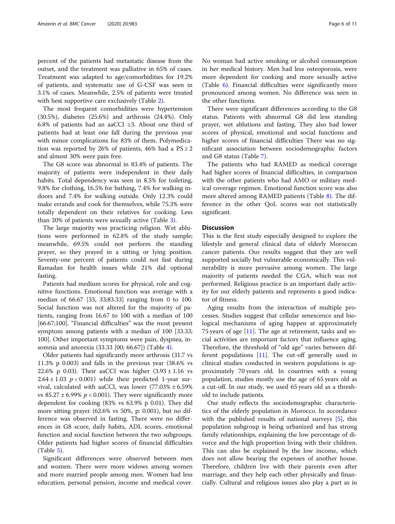percent of the patients had metastatic disease from the outset, and the treatment was palliative in 65% of cases. Treatment was adapted to age/comorbidities for 19.2% of patients, and systematic use of G-CSF was seen in 3.1% of cases. Meanwhile, 2.5% of patients were treated with best supportive care exclusively (Table [2](#page-6-0)).

The most frequent comorbidities were hypertension (30.5%), diabetes (25.6%) and arthrosis (24.4%). Only 6.8% of patients had an aaCCI ≥3. About one third of patients had at least one fall during the previous year with minor complications for 83% of them. Polymedication was reported by 26% of patients, 46% had a  $PS \ge 2$ and almost 30% were pain free.

The G8 score was abnormal in 83.4% of patients. The majority of patients were independent in their daily habits. Total dependency was seen in 8.5% for toileting, 9.8% for clothing, 16.5% for bathing, 7.4% for walking indoors and 7.4% for walking outside. Only 12.3% could make errands and cook for themselves, while 75.3% were totally dependent on their relatives for cooking. Less than 20% of patients were sexually active (Table [3](#page-7-0)).

The large majority was practicing religion. Wet ablutions were performed in 62.8% of the study sample; meanwhile, 69.5% could not perform the standing prayer, so they prayed in a sitting or lying position. Seventy-one percent of patients could not fast during Ramadan for health issues while 21% did optional fasting.

Patients had medium scores for physical, role and cognitive functions. Emotional function was average with a median of 66.67 [33, 33;83.33] ranging from 0 to 100. Social function was not altered for the majority of patients, ranging from 16.67 to 100 with a median of 100 [66.67;100]. "Financial difficulties" was the most present symptom among patients with a median of 100 [33.33; 100]. Other important symptoms were pain, dyspnea, insomnia and anorexia (33.33 [00; 66.67]) (Table [4\)](#page-7-0).

Older patients had significantly more arthrosis (31.7 vs 11.3% p 0.003) and falls in the previous year (38.6% vs 22.6% p 0.03). Their aaCCI was higher  $(3.93 \pm 1.16 \text{ vs }$  $2.64 \pm 1.03$   $p < 0.001$ ) while their predicted 1-year survival, calculated with aaCCI, was lower  $(77.03\% \pm 6.59\%)$ vs  $85.27 \pm 6.99\% p < 0.001$ . They were significantly more dependent for cooking (83% vs 63.9% p 0.01). They did more sitting prayer (62.6% vs 50%, p: 0.001), but no difference was observed in fasting. There were no differences in G8 score, daily habits, ADL scores, emotional function and social function between the two subgroups. Older patients had higher scores of financial difficulties (Table [5\)](#page-7-0).

Significant differences were observed between men and women. There were more widows among women and more married people among men. Women had less education, personal pension, income and medical cover. No woman had active smoking or alcohol consumption in her medical history. Men had less osteoporosis, were more dependent for cooking and more sexually active (Table [6\)](#page-8-0). Financial difficulties were significantly more pronounced among women. No difference was seen in the other functions.

There were significant differences according to the G8 status. Patients with abnormal G8 did less standing prayer, wet ablutions and fasting. They also had lower scores of physical, emotional and social functions and higher scores of financial difficulties There was no significant association between sociodemographic factors and G8 status (Table [7](#page-9-0)).

The patients who had RAMED as medical coverage had higher scores of financial difficulties, in comparison with the other patients who had AMO or military medical coverage regimen. Emotional function score was also more altered among RAMED patients (Table [8](#page-9-0)). The difference in the other QoL scores was not statistically significant.

#### **Discussion**

This is the first study especially designed to explore the lifestyle and general clinical data of elderly Moroccan cancer patients. Our results suggest that they are well supported socially but vulnerable economically. This vulnerability is more pervasive among women. The large majority of patients needed the CGA, which was not performed. Religious practice is an important daily activity for our elderly patients and represents a good indicator of fitness.

Aging results from the interaction of multiple processes. Studies suggest that cellular senescence and biological mechanisms of aging happen at approximately 75 years of age  $[11]$  $[11]$ . The age at retirement, tasks and social activities are important factors that influence aging. Therefore, the threshold of "old age" varies between different populations [\[11](#page-10-0)]. The cut-off generally used in clinical studies conducted in western populations is approximately 70 years old. In countries with a young population, studies mostly use the age of 65 years old as a cut-off. In our study, we used 65 years old as a threshold to include patients.

Our study reflects the sociodemographic characteristics of the elderly population in Morocco. In accordance with the published results of national surveys [[5\]](#page-10-0), this population subgroup is being urbanized and has strong family relationships, explaining the low percentage of divorce and the high proportion living with their children. This can also be explained by the low income, which does not allow bearing the expenses of another house. Therefore, children live with their parents even after marriage, and they help each other physically and financially. Cultural and religious issues also play a part as in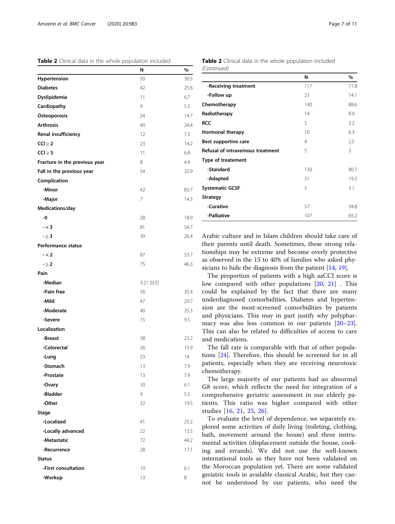<span id="page-6-0"></span>Table 2 Clinical data in the whole population included

|                               | N          | %    |
|-------------------------------|------------|------|
| Hypertension                  | 50         | 30.5 |
| <b>Diabetes</b>               | 42         | 25.6 |
| Dyslipidemia                  | 11         | 6.7  |
| Cardiopathy                   | 9          | 5.5  |
| Osteoporosis                  | 24         | 14.7 |
| <b>Arthrosis</b>              | 40         | 24.4 |
| Renal insufficiency           | 12         | 7.3  |
| $CCl \geq 2$                  | 23         | 14.2 |
| CC  > 3                       | 11         | 6.8  |
| Fracture in the previous year | 8          | 4.9  |
| Fall in the previous year     | 54         | 32.9 |
| Complication                  |            |      |
| -Minor                        | 42         | 83.7 |
| -Major                        | 7          | 14.3 |
| Medications/day               |            |      |
| -0                            | 28         | 18.9 |
| $- < 3$                       | 81         | 54.7 |
| $- \geq 3$                    | 39         | 26.4 |
| <b>Performance status</b>     |            |      |
| $- < 2$                       | 87         | 53.7 |
| $- \geq 2$                    | 75         | 46.3 |
| Pain                          |            |      |
| -Median                       | 3.21 [0;5] |      |
| -Pain free                    | 56         | 35.4 |
| -Mild                         | 47         | 29.7 |
| -Moderate                     | 40         | 25.3 |
| -Severe                       | 15         | 9.5  |
| Localization                  |            |      |
| -Breast                       | 38         | 23.2 |
| -Colorectal                   | 26         | 15.9 |
| -Lung                         | 23         | 14   |
| -Stomach                      | 13         | 7.9  |
| -Prostate                     | 13         | 7.9  |
| -Ovary                        | 10         | 6.1  |
| -Bladder                      | 9          | 5.5  |
| -Other                        | 32         | 19.5 |
| <b>Stage</b>                  |            |      |
| -Localized                    | 41         | 25.2 |
| -Locally advanced             | 22         | 13.5 |
| -Metastatic                   | 72         | 44.2 |
| -Recurrence                   | 28         | 17.1 |
| <b>Status</b>                 |            |      |
| -First consultation           | 10         | 6.1  |
| -Workup                       | 13         | 8    |
|                               |            |      |

Table 2 Clinical data in the whole population included (Continued)

|                                   | N   | $\%$ |
|-----------------------------------|-----|------|
| -Receiving treatment              | 117 | 71.8 |
| -Follow up                        | 23  | 14.1 |
| Chemotherapy                      | 140 | 88.6 |
| Radiotherapy                      | 14  | 8.9  |
| <b>RCC</b>                        | 5   | 3.2  |
| Hormonal therapy                  | 10  | 6.3  |
| Best supportive care              | 4   | 2.5  |
| Refusal of intraveinous treatment | 5   | 3    |
| <b>Type of treatement</b>         |     |      |
| -Standard                         | 130 | 80.7 |
| -Adapted                          | 31  | 19.2 |
| <b>Systematic GCSF</b>            | 5   | 3.1  |
| <b>Strategy</b>                   |     |      |
| -Curative                         | 57  | 34.8 |
| -Palliative                       | 107 | 65.2 |

Arabic culture and in Islam children should take care of their parents until death. Sometimes, these strong relationships may be extreme and become overly protective as observed in the 15 to 40% of families who asked physicians to hide the diagnosis from the patient [[14](#page-10-0), [19](#page-10-0)].

The proportion of patients with a high aaCCI score is low compared with other populations [\[20](#page-10-0), [21](#page-10-0)]. This could be explained by the fact that there are many underdiagnosed comorbidities. Diabetes and hypertension are the most-screened comorbidities by patients and physicians. This may in part justify why polypharmacy was also less common in our patients [[20](#page-10-0)–[23](#page-10-0)]. This can also be related to difficulties of access to care and medications.

The fall rate is comparable with that of other populations [[24\]](#page-10-0). Therefore, this should be screened for in all patients, especially when they are receiving neurotoxic chemotherapy.

The large majority of our patients had an abnormal G8 score, which reflects the need for integration of a comprehensive geriatric assessment in our elderly patients. This ratio was higher compared with other studies [[16,](#page-10-0) [21,](#page-10-0) [25](#page-10-0), [26](#page-10-0)].

To evaluate the level of dependence, we separately explored some activities of daily living (toileting, clothing, bath, movement around the house) and three instrumental activities (displacement outside the house, cooking and errands). We did not use the well-known international tools as they have not been validated on the Moroccan population yet. There are some validated geriatric tools in available classical Arabic, but they cannot be understood by our patients, who need the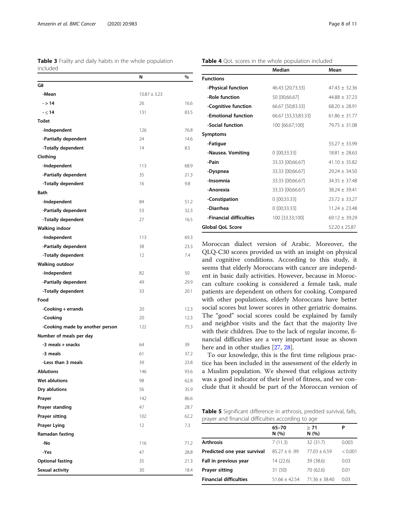<span id="page-7-0"></span>Table 3 Frailty and daily habits in the whole population included

|                                 | Ν                | %    |
|---------------------------------|------------------|------|
| G8                              |                  |      |
| -Mean                           | $10.87 \pm 3.23$ |      |
| $- > 14$                        | 26               | 16.6 |
| $-5.14$                         | 131              | 83.5 |
| <b>Toilet</b>                   |                  |      |
| -Independent                    | 126              | 76.8 |
| -Partially dependent            | 24               | 14.6 |
| -Totally dependent              | 14               | 8.5  |
| Clothing                        |                  |      |
| -Independent                    | 113              | 68.9 |
| -Partially dependent            | 35               | 21.3 |
| -Totally dependent              | 16               | 9.8  |
| Bath                            |                  |      |
| -Independent                    | 84               | 51.2 |
| -Partially dependent            | 53               | 32.3 |
| -Totally dependent              | 27               | 16.5 |
| <b>Walking indoor</b>           |                  |      |
| -Independent                    | 113              | 69.3 |
| -Partially dependent            | 38               | 23.3 |
| -Totally dependent              | 12               | 7.4  |
| <b>Walking outdoor</b>          |                  |      |
| -Independent                    | 82               | 50   |
| -Partially dependent            | 49               | 29.9 |
| -Totally dependent              | 33               | 20.1 |
| Food                            |                  |      |
| -Cooking + errands              | 20               | 12.3 |
| -Cooking                        | 20               | 12.3 |
| -Cooking made by another person | 122              | 75.3 |
| Number of meals per day         |                  |      |
| -3 meals + snacks               | 64               | 39   |
| -3 meals                        | 61               | 37.2 |
| -Less than 3 meals              | 39               | 23.8 |
| <b>Ablutions</b>                | 146              | 93.6 |
| Wet ablutions                   | 98               | 62.8 |
| Dry ablutions                   | 56               | 35.9 |
| Prayer                          | 142              | 86.6 |
| Prayer standing                 | 47               | 28.7 |
| Prayer sitting                  | 102              | 62.2 |
| <b>Prayer Lying</b>             | 12               | 7.3  |
| Ramadan fasting                 |                  |      |
| -No                             | 116              | 71.2 |
| -Yes                            | 47               | 28.8 |
| <b>Optional fasting</b>         | 35               | 21.3 |
| Sexual activity                 | 30               | 18.4 |
|                                 |                  |      |

Table 4 QoL scores in the whole population included

|                         | <b>Median</b>       | Mean              |
|-------------------------|---------------------|-------------------|
| <b>Functions</b>        |                     |                   |
| -Physical function      | 46.43 [20;73.33]    | $47.43 + 32.36$   |
| -Role function          | 50 [00;66.67]       | $44.88 + 37.23$   |
| -Cognitive function     | 66.67 [50;83.33]    | $68.20 + 28.91$   |
| -Emotional function     | 66.67 [33,33;83.33] | $61.86 + 31.77$   |
| -Social function        | 100 [66.67;100]     | $79.75 + 31.08$   |
| <b>Symptoms</b>         |                     |                   |
| -Fatigue                |                     | $55.27 + 33.99$   |
| -Nausea. Vomiting       | $0$ [00;33.33]      | $18.81 \pm 28.63$ |
| -Pain                   | 33.33 [00;66.67]    | $41.10 \pm 35.82$ |
| -Dyspnea                | 33.33 [00;66.67]    | $79.24 + 34.50$   |
| -Insomnia               | 33.33 [00;66.67]    | $34.35 \pm 37.48$ |
| -Anorexia               | 33.33 [00;66.67]    | $38.24 + 39.41$   |
| -Constipation           | $0$ [00;33.33]      | $23.72 + 33.27$   |
| -Diarrhea               | $0$ [00;33.33]      | $11.24 + 23.48$   |
| -Financial difficulties | 100 [33.33;100]     | $69.12 + 39.29$   |
| <b>Global OoL Score</b> |                     | $52.20 + 25.87$   |

Moroccan dialect version of Arabic. Moreover, the QLQ-C30 scores provided us with an insight on physical and cognitive conditions. According to this study, it seems that elderly Moroccans with cancer are independent in basic daily activities. However, because in Moroccan culture cooking is considered a female task, male patients are dependent on others for cooking. Compared with other populations, elderly Moroccans have better social scores but lower scores in other geriatric domains. The "good" social scores could be explained by family and neighbor visits and the fact that the majority live with their children. Due to the lack of regular income, financial difficulties are a very important issue as shown here and in other studies [\[27](#page-10-0), [28](#page-10-0)].

To our knowledge, this is the first time religious practice has been included in the assessment of the elderly in a Muslim population. We showed that religious activity was a good indicator of their level of fitness, and we conclude that it should be part of the Moroccan version of

Table 5 Significant difference in arthrosis, predited survival, falls, prayer and financial difficulties according to age

|                               | 65-70<br>N(%)   | > 71<br>N(%)    | Р       |
|-------------------------------|-----------------|-----------------|---------|
| <b>Arthrosis</b>              | 7(11.3)         | 32 (31.7)       | 0.003   |
| Predicted one year survival   | $85.27 + 6.99$  | $77.03 + 6.59$  | < 0.001 |
| Fall in previous year         | 14 (22.6)       | 39 (38.6)       | 0.03    |
| <b>Prayer sitting</b>         | 31 (50)         | 70 (62.6)       | 0.01    |
| <b>Financial difficulties</b> | $51.66 + 42.54$ | $71.36 + 38.40$ | 0.03    |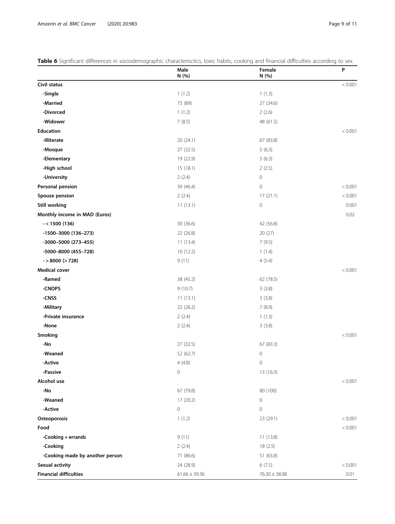<span id="page-8-0"></span>

| Table 6 Significant differences in sociodemographic characterisctics, toxic habits, cooking and financial difficulties according to sex |  |  |
|-----------------------------------------------------------------------------------------------------------------------------------------|--|--|
|                                                                                                                                         |  |  |

|                                 | Male<br>N (%)     | Female<br>N (%)     | P       |
|---------------------------------|-------------------|---------------------|---------|
| Civil status                    |                   |                     | < 0.001 |
| -Single                         | 1(1.2)            | 1(1.3)              |         |
| -Married                        | 73 (89)           | 27 (34.6)           |         |
| -Divorced                       | 1(1.2)            | 2(2.6)              |         |
| -Widower                        | 7(8.5)            | 48 (61.5)           |         |
| Education                       |                   |                     | < 0.001 |
| -Illiterate                     | 20 (24.1)         | 67 (83.8)           |         |
| -Mosque                         | 27 (32.5)         | 5(6.3)              |         |
| -Elementary                     | 19 (22.9)         | 5(6.3)              |         |
| -High school                    | 15 (18.1)         | 2(2.5)              |         |
| -University                     | 2(2.4)            | $\mathbf 0$         |         |
| Personal pension                | 39 (46.4)         | $\mathsf{O}\xspace$ | < 0.001 |
| Spouse pension                  | 2(2.4)            | 17(21.1)            | < 0.001 |
| <b>Still working</b>            | 11(13.1)          | $\mathsf{O}\xspace$ | 0.001   |
| Monthly income in MAD (Euros)   |                   |                     | 0.02    |
| $- < 1500(136)$                 | 30 (36.6)         | 42 (56.8)           |         |
| $-1500-3000$ (136-273)          | 22 (26.8)         | 20(27)              |         |
| -3000-5000 (273-455)            | 11(13.4)          | 7(9.5)              |         |
| -5000-8000 (455-728)            | 10 (12.2)         | 1(1.4)              |         |
| $-$ > 8000 (> 728)              | 9(11)             | 4(5.4)              |         |
| <b>Medical cover</b>            |                   |                     | < 0.001 |
| -Ramed                          | 38 (45.2)         | 62 (78.5)           |         |
| -CNOPS                          | 9(10.7)           | 3(3.8)              |         |
| -CNSS                           | 11(13.1)          | 3(3.8)              |         |
| -Military                       | 22 (26.2)         | 7(8.9)              |         |
| -Private insurance              | 2(2.4)            | 1(1.3)              |         |
| -None                           | 2(2.4)            | 3(3.8)              |         |
| Smoking                         |                   |                     | < 0.001 |
| -No                             | 27 (32.5)         | 67 (83.3)           |         |
| -Weaned                         | 52 (62.7)         | $\mathsf{O}\xspace$ |         |
| -Active                         | 4(4.8)            | 0                   |         |
| -Passive                        | 0                 | 13 (16.3)           |         |
| Alcohol use                     |                   |                     | < 0.001 |
| -No                             | 67 (79.8)         | 80 (100)            |         |
| -Weaned                         | 17 (20.2)         | $\mathsf{O}\xspace$ |         |
| -Active                         | 0                 | $\mathsf{O}\xspace$ |         |
| Osteoporosis                    | 1(1.2)            | 23 (29.1)           | < 0.001 |
| Food                            |                   |                     | < 0.001 |
| -Cooking + errands              | 9(11)             | 11 (13.8)           |         |
| -Cooking                        | 2(2.4)            | 18(2.5)             |         |
| -Cooking made by another person | 71 (86.6)         | 51 (63.8)           |         |
| Sexual activity                 | 24 (28.9)         | 6(7.5)              | < 0.001 |
| <b>Financial difficulties</b>   | $61.66 \pm 39.36$ | $76.30\pm38.08$     | 0.01    |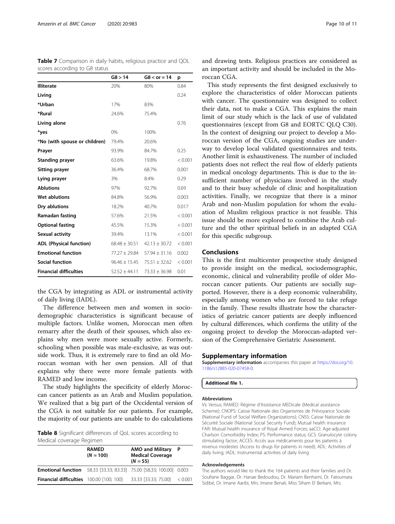| scores accorung to do status   |                   |                   |         |
|--------------------------------|-------------------|-------------------|---------|
|                                | GS > 14           | $G8 < or = 14$    | p       |
| <b>Illiterate</b>              | 20%               | 80%               | 0.84    |
| Living                         |                   |                   | 0.24    |
| *Urban                         | 17%               | 83%               |         |
| *Rural                         | 24.6%             | 75.4%             |         |
| Living alone                   |                   |                   | 0.76    |
| *yes                           | 0%                | 100%              |         |
| *No (with spouse or children)  | 79.4%             | 20.6%             |         |
| Prayer                         | 93.9%             | 84.7%             | 0.25    |
| <b>Standing prayer</b>         | 63.6%             | 19.8%             | < 0.001 |
| <b>Sitting prayer</b>          | 36.4%             | 68.7%             | 0.001   |
| Lying prayer                   | 3%                | 8.4%              | 0.29    |
| <b>Ablutions</b>               | 97%               | 92.7%             | 0.69    |
| Wet ablutions                  | 84.8%             | 56.9%             | 0.003   |
| Dry ablutions                  | 18.2%             | 40.7%             | 0.017   |
| Ramadan fasting                | 57.6%             | 21.5%             | < 0.001 |
| <b>Optional fasting</b>        | 45.5%             | 15.3%             | < 0.001 |
| Sexual activity                | 39.4%             | 13.1%             | < 0.001 |
| <b>ADL (Physical function)</b> | $68.48 \pm 30.51$ | $42.13 \pm 30.72$ | < 0.001 |
| <b>Emotional function</b>      | 77.27 ± 29.84     | $57.94 \pm 31.16$ | 0.002   |
| <b>Social function</b>         | $96.46 \pm 15.45$ | $75.51 \pm 32.62$ | < 0.001 |
| <b>Financial difficulties</b>  | $52.52 \pm 44.11$ | $73.33 \pm 36.98$ | 0.01    |

<span id="page-9-0"></span>Table 7 Comparison in daily habits, religious practice and QOL scores according to G8 status

the CGA by integrating as ADL or instrumental activity of daily living (IADL).

The difference between men and women in sociodemographic characteristics is significant because of multiple factors. Unlike women, Moroccan men often remarry after the death of their spouses, which also explains why men were more sexually active. Formerly, schooling when possible was male-exclusive, as was outside work. Thus, it is extremely rare to find an old Moroccan woman with her own pension. All of that explains why there were more female patients with RAMED and low income.

The study highlights the specificity of elderly Moroccan cancer patients as an Arab and Muslim population. We realized that a big part of the Occidental version of the CGA is not suitable for our patients. For example, the majority of our patients are unable to do calculations

Table 8 Significant differences of QoL scores according to Medical coverage Regimen

| <b>RAMED</b><br>$(N = 100)$                                                |  | <b>AMO and Military</b><br><b>Medical Coverage</b><br>$(N = 55)$ | P       |
|----------------------------------------------------------------------------|--|------------------------------------------------------------------|---------|
| <b>Emotional function</b> 58.33 [33.33; 83.33] 75.00 [58,33; 100.00] 0.003 |  |                                                                  |         |
| <b>Financial difficulties</b> 100.00 [100; 100]                            |  | 33.33 [33.33; 75.00]                                             | < 0.001 |

and drawing tests. Religious practices are considered as an important activity and should be included in the Moroccan CGA.

This study represents the first designed exclusively to explore the characteristics of older Moroccan patients with cancer. The questionnaire was designed to collect their data, not to make a CGA. This explains the main limit of our study which is the lack of use of validated questionnaires (except from G8 and EORTC QLQ C30). In the context of designing our project to develop a Moroccan version of the CGA, ongoing studies are underway to develop local validated questionnaires and tests. Another limit is exhaustiveness. The number of included patients does not reflect the real flow of elderly patients in medical oncology departments. This is due to the insufficient number of physicians involved in the study and to their busy schedule of clinic and hospitalization activities. Finally, we recognize that there is a minor Arab and non-Muslim population for whom the evaluation of Muslim religious practice is not feasible. This issue should be more explored to combine the Arab culture and the other spiritual beliefs in an adapted CGA for this specific subgroup.

#### Conclusions

This is the first multicenter prospective study designed to provide insight on the medical, sociodemographic, economic, clinical and vulnerability profile of older Moroccan cancer patients. Our patients are socially supported. However, there is a deep economic vulnerability, especially among women who are forced to take refuge in the family. These results illustrate how the characteristics of geriatric cancer patients are deeply influenced by cultural differences, which confirms the utility of the ongoing project to develop the Moroccan-adapted version of the Comprehensive Geriatric Assessment.

#### Supplementary information

Supplementary information accompanies this paper at [https://doi.org/10.](https://doi.org/10.1186/s12885-020-07458-0) [1186/s12885-020-07458-0](https://doi.org/10.1186/s12885-020-07458-0).

Additional file 1.

#### Abbreviations

Vs: Versus; RAMED: Régime d'Assistance MEDicale (Medical assistance Scheme); CNOPS: Caisse Nationale des Organismes de Prévoyance Sociale (National Fund of Social Welfare Organizations); CNSS: Caisse Nationale de Sécurité Sociale (National Social Security Fund); Mutual health insurance FAR: Mutual health insurance of Royal Armed Forces; aaCCI: Age-adjusted Charlson Comorbidity Index; PS: Performance status; GCS: Granulocyte colony stimulating factor; ACCES: Accès aux médicaments pour les patients à revenus modestes (Access to drugs for patients in need); ADL: Activities of daily living; IADL: Instrumental activities of daily living

#### Acknowledgements

The authors would like to thank the 164 patients and their families and Dr. Soufiane Baggar, Dr. Hanae Bedoudou, Dr. Mariam Benhami, Dr. Fatoumata Sidibé, Dr. Imane Aaribi, Mrs. Imane Benali, Miss Siham El Berkani, Mrs.